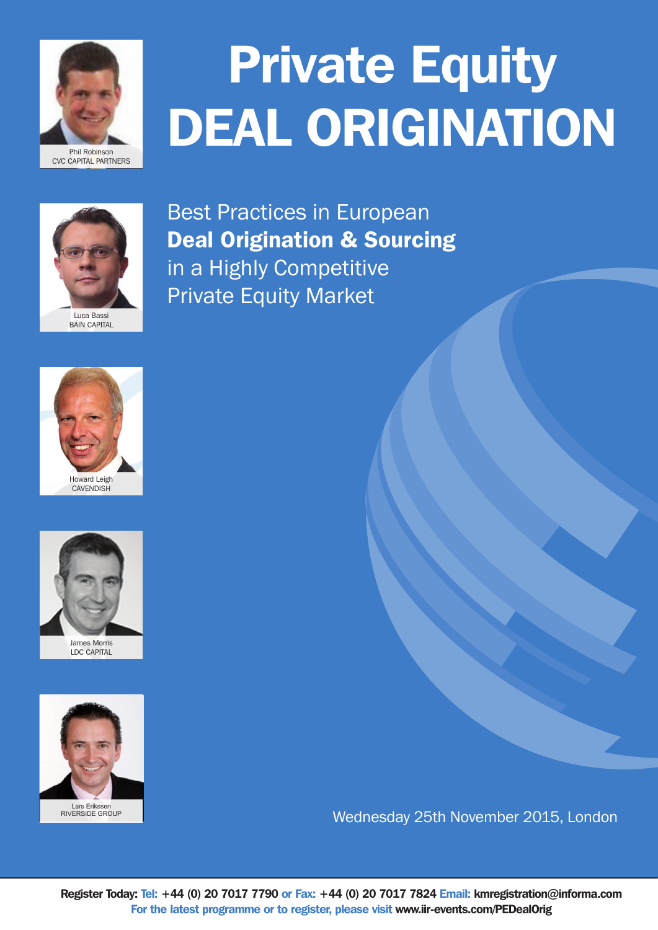

# **Private Equity** DEAL ORIGINATION



Best Practices in European Deal Origination & Sourcing in a Highly Competitive Private Equity Market





LDC CAPITAL



Lars Erikssen RIVERSIDE GROUP

Wednesday 25th November 2015, London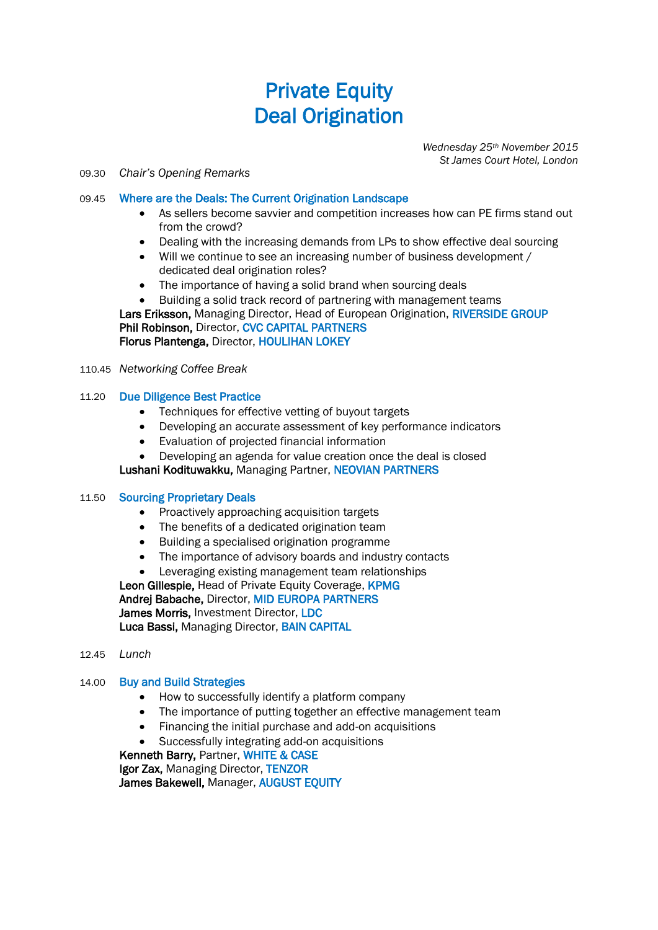## Private Equity Deal Origination

*Wednesday 25th November 2015 St James Court Hotel, London*

#### 09.30 *Chair's Opening Remarks*

#### 09.45 Where are the Deals: The Current Origination Landscape

- As sellers become savvier and competition increases how can PE firms stand out from the crowd?
- Dealing with the increasing demands from LPs to show effective deal sourcing
- Will we continue to see an increasing number of business development / dedicated deal origination roles?
- The importance of having a solid brand when sourcing deals
- Building a solid track record of partnering with management teams Lars Eriksson, Managing Director, Head of European Origination, RIVERSIDE GROUP Phil Robinson, Director, CVC CAPITAL PARTNERS Florus Plantenga, Director, HOULIHAN LOKEY
- 110.45 *Networking Coffee Break*

#### 11.20 Due Diligence Best Practice

- Techniques for effective vetting of buyout targets
- Developing an accurate assessment of key performance indicators
- Evaluation of projected financial information
- Developing an agenda for value creation once the deal is closed

Lushani Kodituwakku, Managing Partner, NEOVIAN PARTNERS

#### 11.50 Sourcing Proprietary Deals

- Proactively approaching acquisition targets
- The benefits of a dedicated origination team
- Building a specialised origination programme
- The importance of advisory boards and industry contacts
- Leveraging existing management team relationships

Leon Gillespie, Head of Private Equity Coverage, KPMG Andrej Babache, Director, MID EUROPA PARTNERS James Morris, Investment Director, LDC Luca Bassi, Managing Director, BAIN CAPITAL

12.45 *Lunch*

#### 14.00 Buy and Build Strategies

- How to successfully identify a platform company
- The importance of putting together an effective management team
- Financing the initial purchase and add-on acquisitions
- Successfully integrating add-on acquisitions

Kenneth Barry, Partner, WHITE & CASE Igor Zax, Managing Director, TENZOR

James Bakewell, Manager, AUGUST EQUITY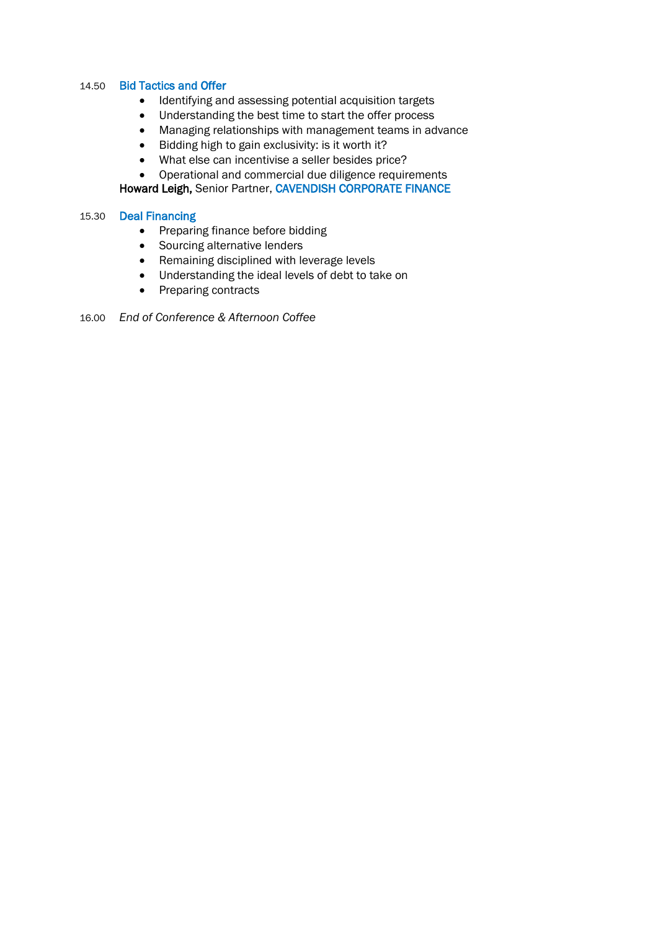#### 14.50 Bid Tactics and Offer

- Identifying and assessing potential acquisition targets
- Understanding the best time to start the offer process
- Managing relationships with management teams in advance
- Bidding high to gain exclusivity: is it worth it?
- What else can incentivise a seller besides price?
- Operational and commercial due diligence requirements

Howard Leigh, Senior Partner, CAVENDISH CORPORATE FINANCE

#### 15.30 Deal Financing

- Preparing finance before bidding
- Sourcing alternative lenders
- Remaining disciplined with leverage levels
- Understanding the ideal levels of debt to take on
- Preparing contracts

16.00 *End of Conference & Afternoon Coffee*